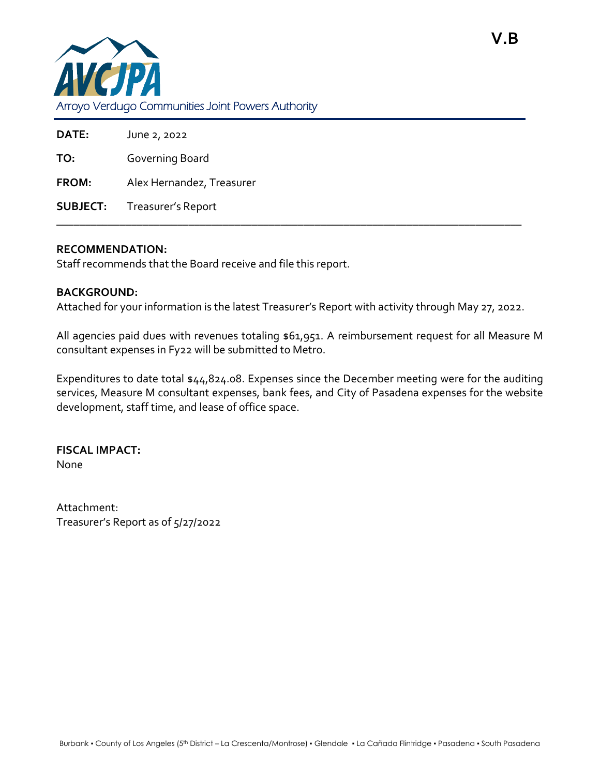

| <b>DATE:</b> | June 2, 2022                       |
|--------------|------------------------------------|
| TO:          | Governing Board                    |
| <b>FROM:</b> | Alex Hernandez, Treasurer          |
|              | <b>SUBJECT:</b> Treasurer's Report |

\_\_\_\_\_\_\_\_\_\_\_\_\_\_\_\_\_\_\_\_\_\_\_\_\_\_\_\_\_\_\_\_\_\_\_\_\_\_\_\_\_\_\_\_\_\_\_\_\_\_\_\_\_\_\_\_\_\_\_\_\_\_\_\_\_\_\_\_\_\_\_\_\_\_\_\_\_\_\_\_\_

## **RECOMMENDATION:**

Staff recommends that the Board receive and file this report.

## **BACKGROUND:**

Attached for your information is the latest Treasurer's Report with activity through May 27, 2022.

All agencies paid dues with revenues totaling \$61,951. A reimbursement request for all Measure M consultant expenses in Fy22 will be submitted to Metro.

Expenditures to date total \$44,824.08. Expenses since the December meeting were for the auditing services, Measure M consultant expenses, bank fees, and City of Pasadena expenses for the website development, staff time, and lease of office space.

**FISCAL IMPACT:** None

Attachment: Treasurer's Report as of 5/27/2022